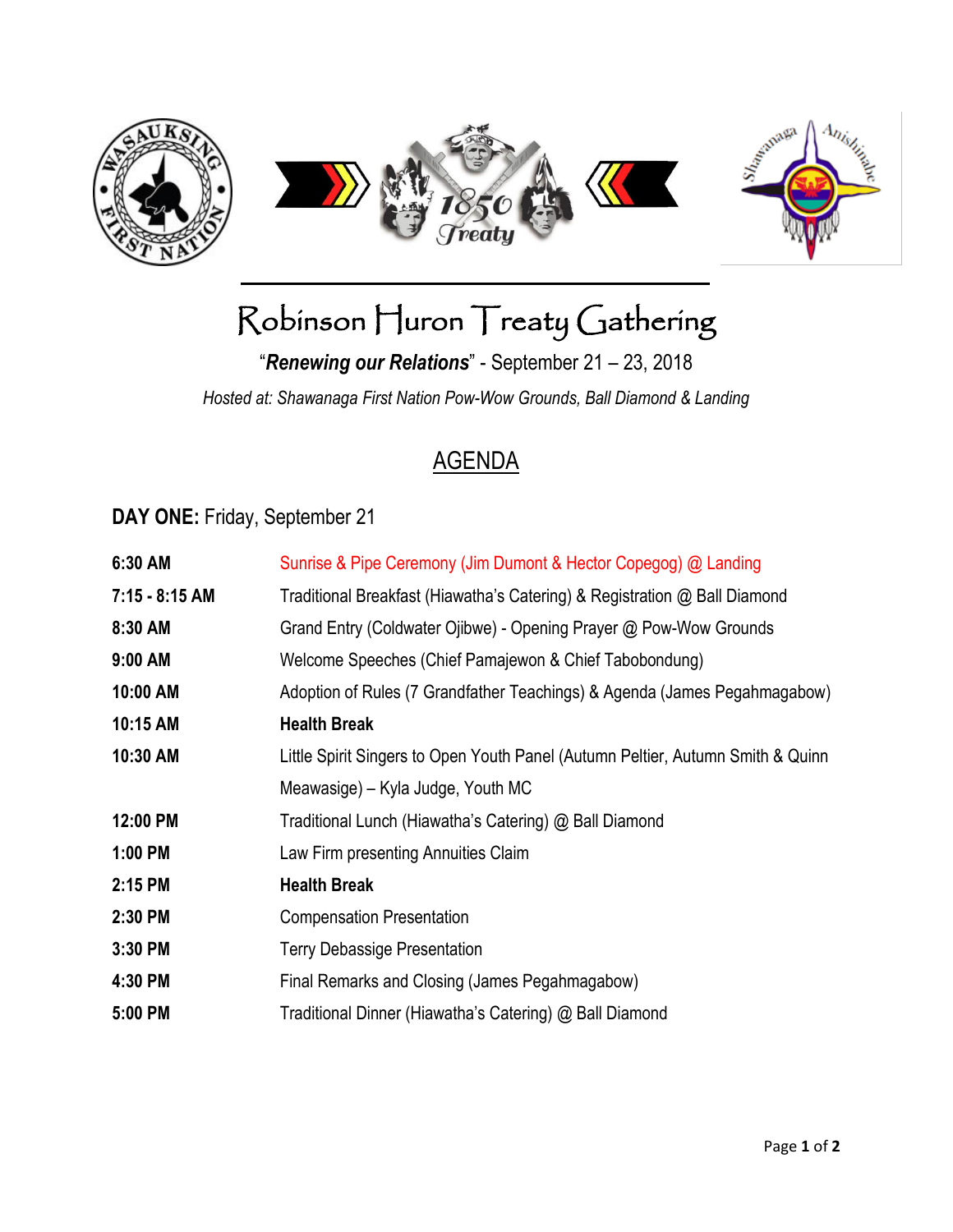

# Robinson Huron Treaty Gathering

"*Renewing our Relations*" - September 21 – 23, 2018

*Hosted at: Shawanaga First Nation Pow-Wow Grounds, Ball Diamond & Landing*

#### AGENDA

#### **DAY ONE:** Friday, September 21

| 6:30 AM          | Sunrise & Pipe Ceremony (Jim Dumont & Hector Copegog) @ Landing                 |
|------------------|---------------------------------------------------------------------------------|
| $7:15 - 8:15$ AM | Traditional Breakfast (Hiawatha's Catering) & Registration @ Ball Diamond       |
| 8:30 AM          | Grand Entry (Coldwater Ojibwe) - Opening Prayer @ Pow-Wow Grounds               |
| 9:00 AM          | Welcome Speeches (Chief Pamajewon & Chief Tabobondung)                          |
| 10:00 AM         | Adoption of Rules (7 Grandfather Teachings) & Agenda (James Pegahmagabow)       |
| 10:15 AM         | <b>Health Break</b>                                                             |
| 10:30 AM         | Little Spirit Singers to Open Youth Panel (Autumn Peltier, Autumn Smith & Quinn |
|                  | Meawasige) – Kyla Judge, Youth MC                                               |
| 12:00 PM         | Traditional Lunch (Hiawatha's Catering) @ Ball Diamond                          |
| 1:00 PM          | Law Firm presenting Annuities Claim                                             |
| 2:15 PM          | <b>Health Break</b>                                                             |
| 2:30 PM          | <b>Compensation Presentation</b>                                                |
| 3:30 PM          | <b>Terry Debassige Presentation</b>                                             |
| 4:30 PM          | Final Remarks and Closing (James Pegahmagabow)                                  |
| 5:00 PM          | Traditional Dinner (Hiawatha's Catering) @ Ball Diamond                         |
|                  |                                                                                 |